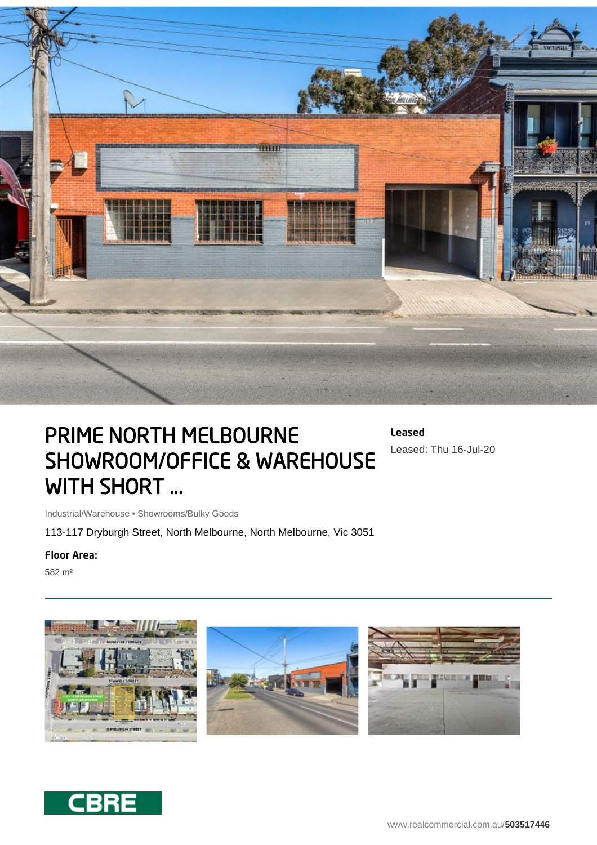

## PRIME NORTH MELBOURNE SHOWROOM/OFFICE & WAREHOUSE WITH SHORT ...

Leased Leased: Thu 16-Jul-20

Industrial/Warehouse • Showrooms/Bulky Goods

113-117 Dryburgh Street, North Melbourne, North Melbourne, Vic 3051

## Floor Area:

582 m²